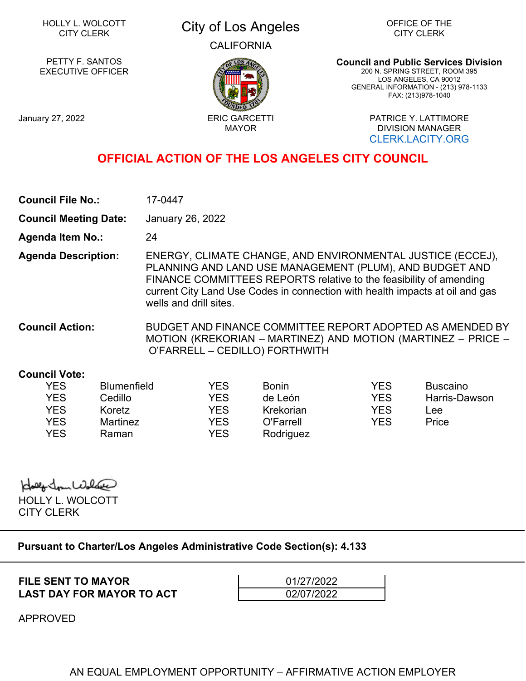# HOLLY L. WOLCOTT

## LLY L. WOLCOTT **City of Los Angeles** CALIFORNIA

OFFICE OF THE CITY CLERK

PETTY F. SANTOS EXECUTIVE OFFICER

**Council and Public Services Division** 200 N. SPRING STREET, ROOM 395 LOS ANGELES, CA 90012 GENERAL INFORMATION - (213) 978-1133 FAX: (213)978-1040

January 27, 2022 **ERIC GARCETTI** 

MAYOR

PATRICE Y. LATTIMORE DIVISION MANAGER [CLERK.LACITY.ORG](https://clerk.lacity.org/)

## **OFFICIAL ACTION OF THE LOS ANGELES CITY COUNCIL**

| <b>Council File No.:</b> | 17-0447 |
|--------------------------|---------|
|--------------------------|---------|

**Council Meeting Date:** January 26, 2022

**Agenda Item No.:** 24

**Agenda Description:** ENERGY, CLIMATE CHANGE, AND ENVIRONMENTAL JUSTICE (ECCEJ), PLANNING AND LAND USE MANAGEMENT (PLUM), AND BUDGET AND FINANCE COMMITTEES REPORTS relative to the feasibility of amending current City Land Use Codes in connection with health impacts at oil and gas wells and drill sites.

**Council Action:** BUDGET AND FINANCE COMMITTEE REPORT ADOPTED AS AMENDED BY MOTION (KREKORIAN – MARTINEZ) AND MOTION (MARTINEZ – PRICE – O'FARRELL – CEDILLO) FORTHWITH

#### **Council Vote:**

| YES        | <b>Blumenfield</b> | YES | <b>Bonin</b> | YES | Buscaino      |
|------------|--------------------|-----|--------------|-----|---------------|
| <b>YES</b> | Cedillo            | YES | de León      | YES | Harris-Dawson |
| YES        | Koretz             | YES | Krekorian    | YES | Lee           |
| YES        | <b>Martinez</b>    | YES | O'Farrell    | YES | Price         |
| YES        | Raman              | YES | Rodriguez    |     |               |

Idaly In Walnut HOLLY L. WOLCOTT

CITY CLERK

### **Pursuant to Charter/Los Angeles Administrative Code Section(s): 4.133**

**FILE SENT TO MAYOR** 01/27/2022 **LAST DAY FOR MAYOR TO ACT 120 02/07/2022** 

APPROVED